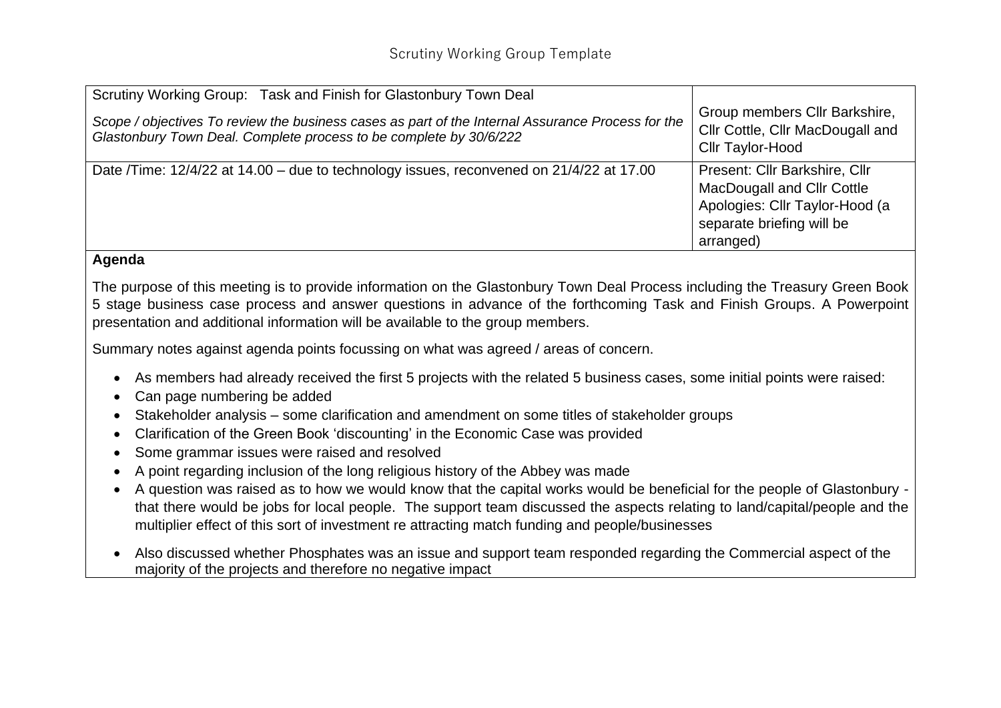| Scrutiny Working Group: Task and Finish for Glastonbury Town Deal                                                                                                       |                                                                                                                                                |
|-------------------------------------------------------------------------------------------------------------------------------------------------------------------------|------------------------------------------------------------------------------------------------------------------------------------------------|
| Scope / objectives To review the business cases as part of the Internal Assurance Process for the<br>Glastonbury Town Deal. Complete process to be complete by 30/6/222 | Group members Cllr Barkshire,<br>Cllr Cottle, Cllr MacDougall and<br>Cllr Taylor-Hood                                                          |
| Date /Time: 12/4/22 at 14.00 – due to technology issues, reconvened on 21/4/22 at 17.00                                                                                 | Present: Cllr Barkshire, Cllr<br><b>MacDougall and Cllr Cottle</b><br>Apologies: Cllr Taylor-Hood (a<br>separate briefing will be<br>arranged) |

## **Agenda**

The purpose of this meeting is to provide information on the Glastonbury Town Deal Process including the Treasury Green Book 5 stage business case process and answer questions in advance of the forthcoming Task and Finish Groups. A Powerpoint presentation and additional information will be available to the group members.

Summary notes against agenda points focussing on what was agreed / areas of concern.

- As members had already received the first 5 projects with the related 5 business cases, some initial points were raised:
- Can page numbering be added
- Stakeholder analysis some clarification and amendment on some titles of stakeholder groups
- Clarification of the Green Book 'discounting' in the Economic Case was provided
- Some grammar issues were raised and resolved
- A point regarding inclusion of the long religious history of the Abbey was made
- A question was raised as to how we would know that the capital works would be beneficial for the people of Glastonbury that there would be jobs for local people. The support team discussed the aspects relating to land/capital/people and the multiplier effect of this sort of investment re attracting match funding and people/businesses
- Also discussed whether Phosphates was an issue and support team responded regarding the Commercial aspect of the majority of the projects and therefore no negative impact